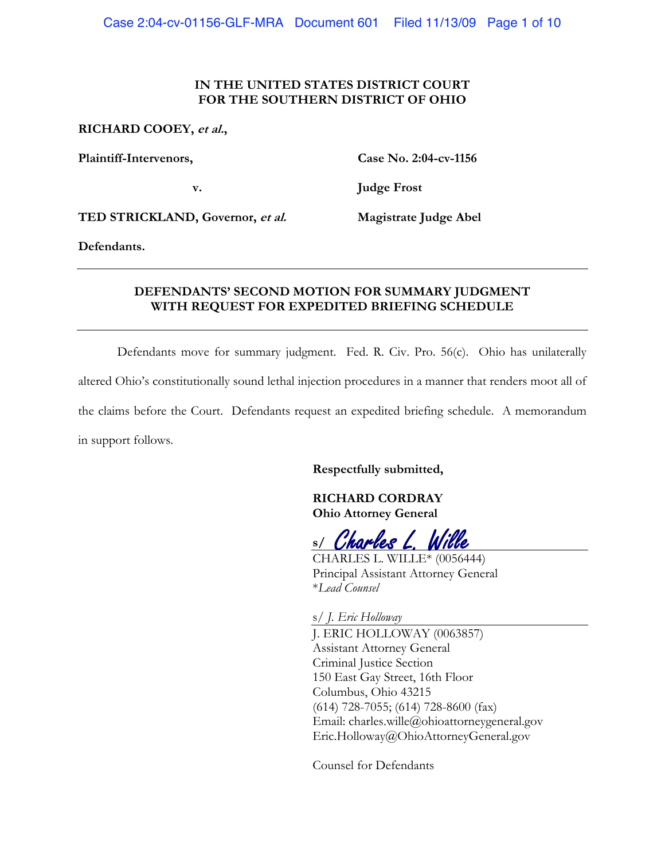# IN THE UNITED STATES DISTRICT COURT FOR THE SOUTHERN DISTRICT OF OHIO

### RICHARD COOEY, et al.,

Plaintiff-Intervenors,

v.

Case No. 2:04-cv-1156

**Judge Frost** 

TED STRICKLAND, Governor, et al.

Magistrate Judge Abel

Defendants.

# DEFENDANTS' SECOND MOTION FOR SUMMARY JUDGMENT WITH REQUEST FOR EXPEDITED BRIEFING SCHEDULE

Defendants move for summary judgment. Fed. R. Civ. Pro. 56(c). Ohio has unilaterally altered Ohio's constitutionally sound lethal injection procedures in a manner that renders moot all of the claims before the Court. Defendants request an expedited briefing schedule. A memorandum in support follows.

Respectfully submitted,

**RICHARD CORDRAY Ohio Attorney General** 

s/ Charles L. Wille

CHARLES L. WILLE\* (0056444) Principal Assistant Attorney General \*I ead Counsel

s/ J. Eric Holloway

J. ERIC HOLLOWAY (0063857) **Assistant Attorney General** Criminal Justice Section 150 East Gay Street, 16th Floor Columbus, Ohio 43215  $(614)$  728-7055;  $(614)$  728-8600  $(fax)$ Email: charles.wille@ohioattorneygeneral.gov Eric.Holloway@OhioAttorneyGeneral.gov

**Counsel for Defendants**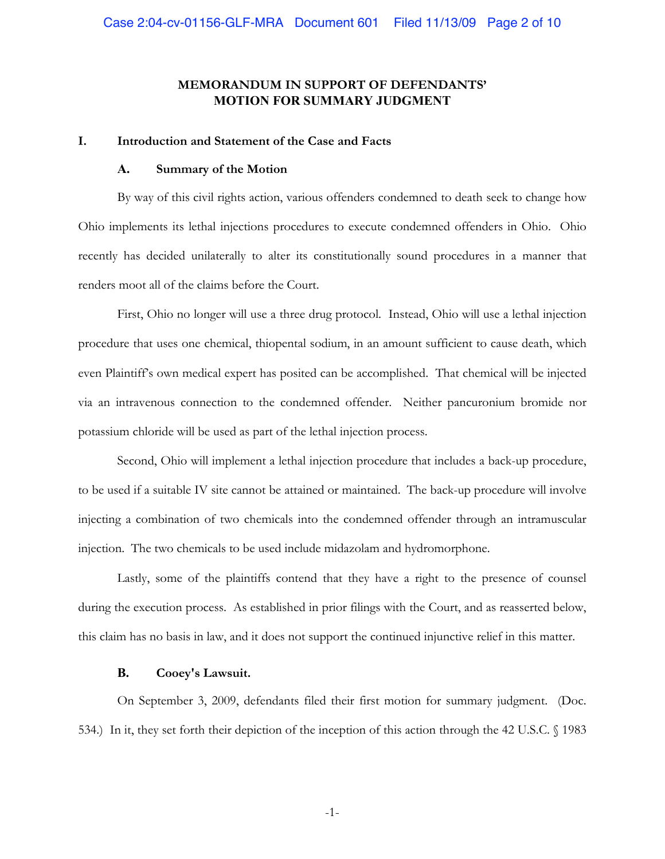# MEMORANDUM IN SUPPORT OF DEFENDANTS' **MOTION FOR SUMMARY JUDGMENT**

#### L. Introduction and Statement of the Case and Facts

#### $\mathbf{A}$ . **Summary of the Motion**

By way of this civil rights action, various offenders condemned to death seek to change how Ohio implements its lethal injections procedures to execute condemned offenders in Ohio. Ohio recently has decided unilaterally to alter its constitutionally sound procedures in a manner that renders moot all of the claims before the Court.

First, Ohio no longer will use a three drug protocol. Instead, Ohio will use a lethal injection procedure that uses one chemical, thiopental sodium, in an amount sufficient to cause death, which even Plaintiff's own medical expert has posited can be accomplished. That chemical will be injected via an intravenous connection to the condemned offender. Neither pancuronium bromide nor potassium chloride will be used as part of the lethal injection process.

Second, Ohio will implement a lethal injection procedure that includes a back-up procedure, to be used if a suitable IV site cannot be attained or maintained. The back-up procedure will involve injecting a combination of two chemicals into the condemned offender through an intramuscular injection. The two chemicals to be used include midazolam and hydromorphone.

Lastly, some of the plaintiffs contend that they have a right to the presence of counsel during the execution process. As established in prior filings with the Court, and as reasserted below, this claim has no basis in law, and it does not support the continued injunctive relief in this matter.

#### **B.** Cooev's Lawsuit.

On September 3, 2009, defendants filed their first motion for summary judgment. (Doc. 534.) In it, they set forth their depiction of the inception of this action through the 42 U.S.C. § 1983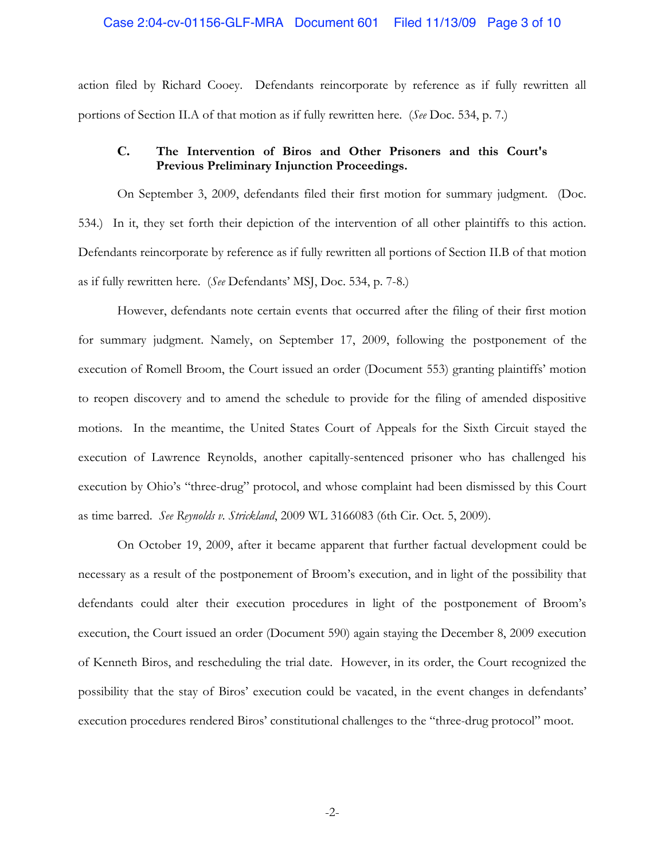## Case 2:04-cv-01156-GLF-MRA Document 601 Filed 11/13/09 Page 3 of 10

action filed by Richard Cooey. Defendants reincorporate by reference as if fully rewritten all portions of Section II.A of that motion as if fully rewritten here. (See Doc. 534, p. 7.)

### $C_{\bullet}$ The Intervention of Biros and Other Prisoners and this Court's Previous Preliminary Injunction Proceedings.

On September 3, 2009, defendants filed their first motion for summary judgment. (Doc. 534.) In it, they set forth their depiction of the intervention of all other plaintiffs to this action. Defendants reincorporate by reference as if fully rewritten all portions of Section II.B of that motion as if fully rewritten here. (See Defendants' MSJ, Doc. 534, p. 7-8.)

However, defendants note certain events that occurred after the filing of their first motion for summary judgment. Namely, on September 17, 2009, following the postponement of the execution of Romell Broom, the Court issued an order (Document 553) granting plaintiffs' motion to reopen discovery and to amend the schedule to provide for the filing of amended dispositive motions. In the meantime, the United States Court of Appeals for the Sixth Circuit stayed the execution of Lawrence Reynolds, another capitally-sentenced prisoner who has challenged his execution by Ohio's "three-drug" protocol, and whose complaint had been dismissed by this Court as time barred. See Reynolds v. Strickland, 2009 WL 3166083 (6th Cir. Oct. 5, 2009).

On October 19, 2009, after it became apparent that further factual development could be necessary as a result of the postponement of Broom's execution, and in light of the possibility that defendants could alter their execution procedures in light of the postponement of Broom's execution, the Court issued an order (Document 590) again staying the December 8, 2009 execution of Kenneth Biros, and rescheduling the trial date. However, in its order, the Court recognized the possibility that the stay of Biros' execution could be vacated, in the event changes in defendants' execution procedures rendered Biros' constitutional challenges to the "three-drug protocol" moot.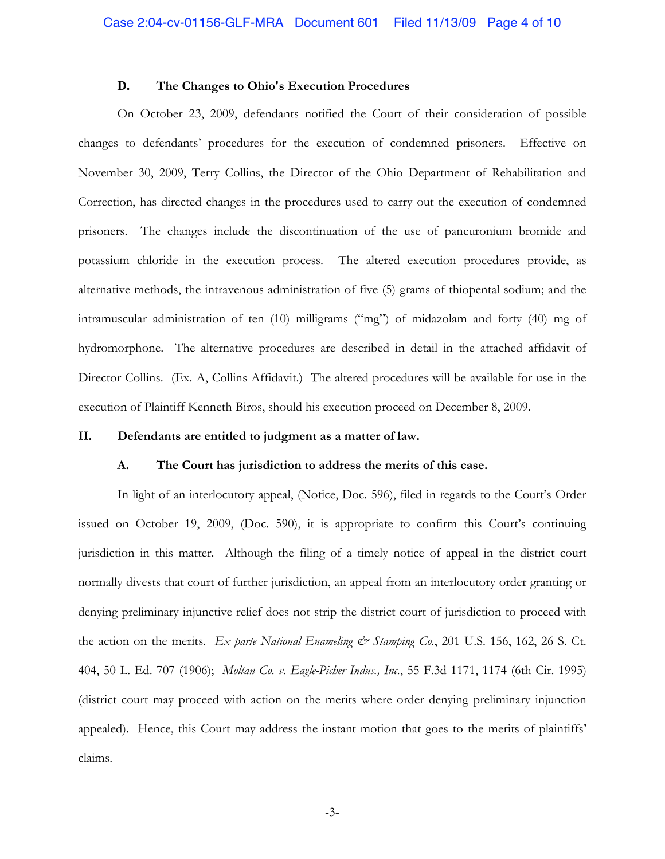#### D. The Changes to Ohio's Execution Procedures

On October 23, 2009, defendants notified the Court of their consideration of possible changes to defendants' procedures for the execution of condemned prisoners. Effective on November 30, 2009, Terry Collins, the Director of the Ohio Department of Rehabilitation and Correction, has directed changes in the procedures used to carry out the execution of condemned prisoners. The changes include the discontinuation of the use of pancuronium bromide and potassium chloride in the execution process. The altered execution procedures provide, as alternative methods, the intravenous administration of five (5) grams of thiopental sodium; and the intramuscular administration of ten (10) milligrams ("mg") of midazolam and forty (40) mg of hydromorphone. The alternative procedures are described in detail in the attached affidavit of Director Collins. (Ex. A, Collins Affidavit.) The altered procedures will be available for use in the execution of Plaintiff Kenneth Biros, should his execution proceed on December 8, 2009.

#### II. Defendants are entitled to judgment as a matter of law.

#### A. The Court has jurisdiction to address the merits of this case.

In light of an interlocutory appeal, (Notice, Doc. 596), filed in regards to the Court's Order issued on October 19, 2009, (Doc. 590), it is appropriate to confirm this Court's continuing jurisdiction in this matter. Although the filing of a timely notice of appeal in the district court normally divests that court of further jurisdiction, an appeal from an interlocutory order granting or denying preliminary injunctive relief does not strip the district court of jurisdiction to proceed with the action on the merits. Ex parte National Enameling & Stamping Co., 201 U.S. 156, 162, 26 S. Ct. 404, 50 L. Ed. 707 (1906); Moltan Co. v. Eagle-Picher Indus., Inc., 55 F.3d 1171, 1174 (6th Cir. 1995) (district court may proceed with action on the merits where order denying preliminary injunction appealed). Hence, this Court may address the instant motion that goes to the merits of plaintiffs' claims.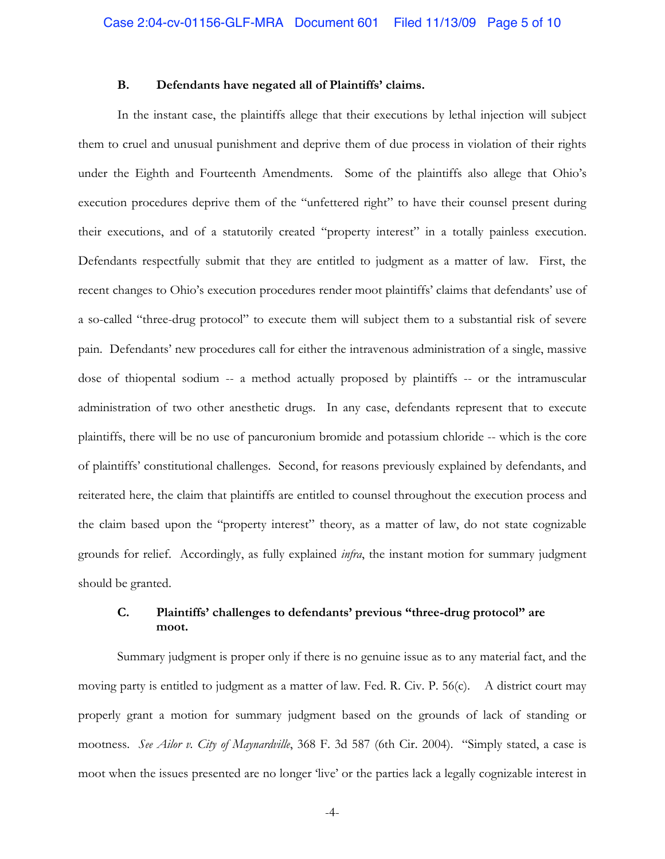#### **B.** Defendants have negated all of Plaintiffs' claims.

In the instant case, the plaintiffs allege that their executions by lethal injection will subject them to cruel and unusual punishment and deprive them of due process in violation of their rights under the Eighth and Fourteenth Amendments. Some of the plaintiffs also allege that Ohio's execution procedures deprive them of the "unfettered right" to have their counsel present during their executions, and of a statutorily created "property interest" in a totally painless execution. Defendants respectfully submit that they are entitled to judgment as a matter of law. First, the recent changes to Ohio's execution procedures render moot plaintiffs' claims that defendants' use of a so-called "three-drug protocol" to execute them will subject them to a substantial risk of severe pain. Defendants' new procedures call for either the intravenous administration of a single, massive dose of thiopental sodium -- a method actually proposed by plaintiffs -- or the intramuscular administration of two other anesthetic drugs. In any case, defendants represent that to execute plaintiffs, there will be no use of pancuronium bromide and potassium chloride -- which is the core of plaintiffs' constitutional challenges. Second, for reasons previously explained by defendants, and reiterated here, the claim that plaintiffs are entitled to counsel throughout the execution process and the claim based upon the "property interest" theory, as a matter of law, do not state cognizable grounds for relief. Accordingly, as fully explained *infra*, the instant motion for summary judgment should be granted.

### C. Plaintiffs' challenges to defendants' previous "three-drug protocol" are moot.

Summary judgment is proper only if there is no genuine issue as to any material fact, and the moving party is entitled to judgment as a matter of law. Fed. R. Civ. P. 56(c). A district court may properly grant a motion for summary judgment based on the grounds of lack of standing or mootness. See Ailor v. City of Maynardville, 368 F. 3d 587 (6th Cir. 2004). "Simply stated, a case is moot when the issues presented are no longer 'live' or the parties lack a legally cognizable interest in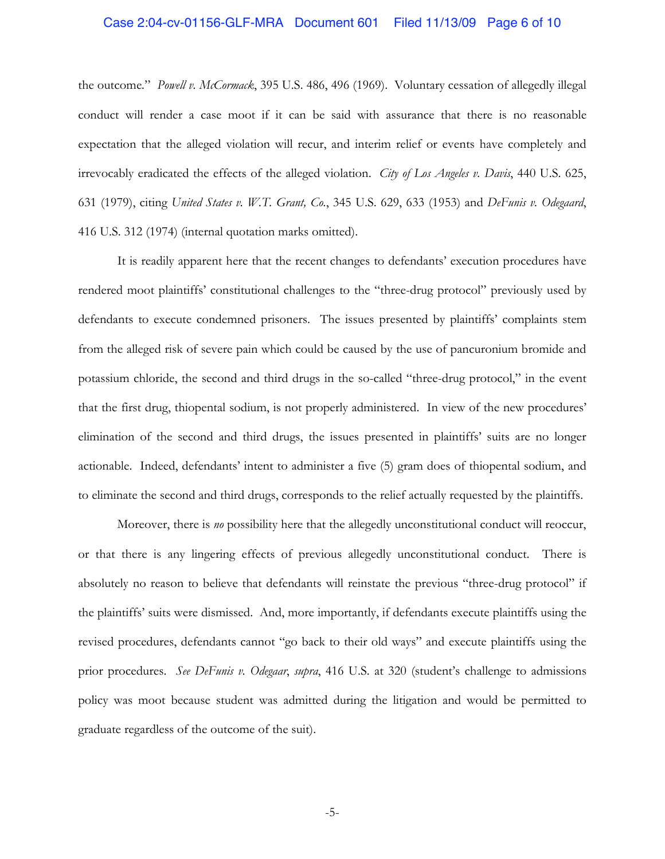## Case 2:04-cv-01156-GLF-MRA Document 601 Filed 11/13/09 Page 6 of 10

the outcome." Powell v. McCormack, 395 U.S. 486, 496 (1969). Voluntary cessation of allegedly illegal conduct will render a case moot if it can be said with assurance that there is no reasonable expectation that the alleged violation will recur, and interim relief or events have completely and irrevocably eradicated the effects of the alleged violation. City of Los Angeles v. Davis, 440 U.S. 625, 631 (1979), citing United States v. W.T. Grant, Co., 345 U.S. 629, 633 (1953) and DeFunis v. Odegaard, 416 U.S. 312 (1974) (internal quotation marks omitted).

It is readily apparent here that the recent changes to defendants' execution procedures have rendered moot plaintiffs' constitutional challenges to the "three-drug protocol" previously used by defendants to execute condemned prisoners. The issues presented by plaintiffs' complaints stem from the alleged risk of severe pain which could be caused by the use of pancuronium bromide and potassium chloride, the second and third drugs in the so-called "three-drug protocol," in the event that the first drug, thiopental sodium, is not properly administered. In view of the new procedures' elimination of the second and third drugs, the issues presented in plaintiffs' suits are no longer actionable. Indeed, defendants' intent to administer a five (5) gram does of thiopental sodium, and to eliminate the second and third drugs, corresponds to the relief actually requested by the plaintiffs.

Moreover, there is no possibility here that the allegedly unconstitutional conduct will reoccur, or that there is any lingering effects of previous allegedly unconstitutional conduct. There is absolutely no reason to believe that defendants will reinstate the previous "three-drug protocol" if the plaintiffs' suits were dismissed. And, more importantly, if defendants execute plaintiffs using the revised procedures, defendants cannot "go back to their old ways" and execute plaintiffs using the prior procedures. See DeFunis v. Odegaar, supra, 416 U.S. at 320 (student's challenge to admissions policy was moot because student was admitted during the litigation and would be permitted to graduate regardless of the outcome of the suit).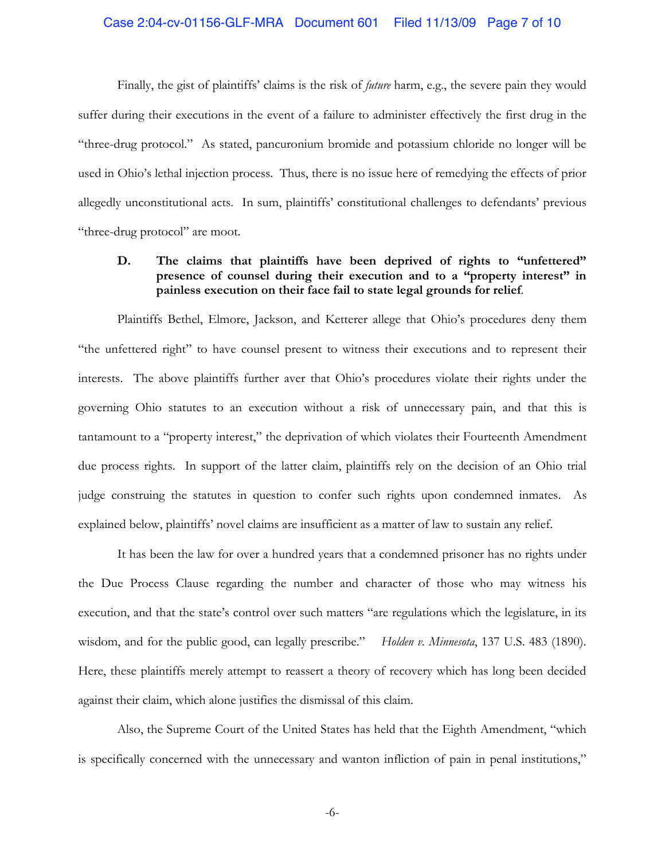# Case 2:04-cv-01156-GLF-MRA Document 601 Filed 11/13/09 Page 7 of 10

Finally, the gist of plaintiffs' claims is the risk of *future* harm, e.g., the severe pain they would suffer during their executions in the event of a failure to administer effectively the first drug in the "three-drug protocol." As stated, pancuronium bromide and potassium chloride no longer will be used in Ohio's lethal injection process. Thus, there is no issue here of remedying the effects of prior allegedly unconstitutional acts. In sum, plaintiffs' constitutional challenges to defendants' previous "three-drug protocol" are moot.

### D. The claims that plaintiffs have been deprived of rights to "unfettered" presence of counsel during their execution and to a "property interest" in painless execution on their face fail to state legal grounds for relief.

Plaintiffs Bethel, Elmore, Jackson, and Ketterer allege that Ohio's procedures deny them "the unfettered right" to have counsel present to witness their executions and to represent their interests. The above plaintiffs further aver that Ohio's procedures violate their rights under the governing Ohio statutes to an execution without a risk of unnecessary pain, and that this is tantamount to a "property interest," the deprivation of which violates their Fourteenth Amendment due process rights. In support of the latter claim, plaintiffs rely on the decision of an Ohio trial judge construing the statutes in question to confer such rights upon condemned inmates. As explained below, plaintiffs' novel claims are insufficient as a matter of law to sustain any relief.

It has been the law for over a hundred years that a condemned prisoner has no rights under the Due Process Clause regarding the number and character of those who may witness his execution, and that the state's control over such matters "are regulations which the legislature, in its wisdom, and for the public good, can legally prescribe." *Holden v. Minnesota*, 137 U.S. 483 (1890). Here, these plaintiffs merely attempt to reassert a theory of recovery which has long been decided against their claim, which alone justifies the dismissal of this claim.

Also, the Supreme Court of the United States has held that the Eighth Amendment, "which is specifically concerned with the unnecessary and wanton infliction of pain in penal institutions,"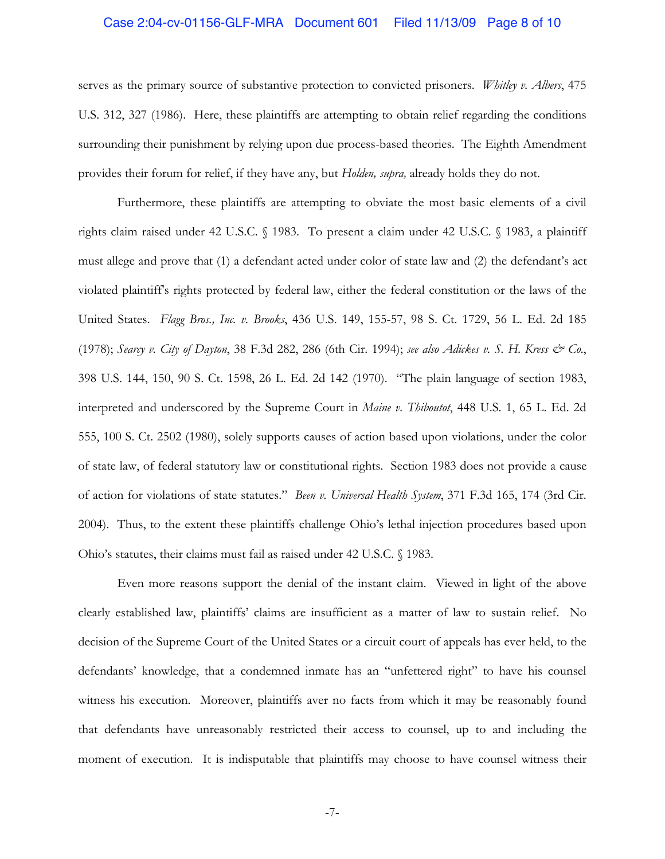## Case 2:04-cv-01156-GLF-MRA Document 601 Filed 11/13/09 Page 8 of 10

serves as the primary source of substantive protection to convicted prisoners. Whitley v. Albers, 475 U.S. 312, 327 (1986). Here, these plaintiffs are attempting to obtain relief regarding the conditions surrounding their punishment by relying upon due process-based theories. The Eighth Amendment provides their forum for relief, if they have any, but Holden, supra, already holds they do not.

Furthermore, these plaintiffs are attempting to obviate the most basic elements of a civil rights claim raised under 42 U.S.C. § 1983. To present a claim under 42 U.S.C. § 1983, a plaintiff must allege and prove that (1) a defendant acted under color of state law and (2) the defendant's act violated plaintiff's rights protected by federal law, either the federal constitution or the laws of the United States. Flagg Bros., Inc. v. Brooks, 436 U.S. 149, 155-57, 98 S. Ct. 1729, 56 L. Ed. 2d 185 (1978); Searcy v. City of Dayton, 38 F.3d 282, 286 (6th Cir. 1994); see also Adickes v. S. H. Kress & Co., 398 U.S. 144, 150, 90 S. Ct. 1598, 26 L. Ed. 2d 142 (1970). "The plain language of section 1983, interpreted and underscored by the Supreme Court in *Maine v. Thiboutot*, 448 U.S. 1, 65 L. Ed. 2d 555, 100 S. Ct. 2502 (1980), solely supports causes of action based upon violations, under the color of state law, of federal statutory law or constitutional rights. Section 1983 does not provide a cause of action for violations of state statutes." Been v. Universal Health System, 371 F.3d 165, 174 (3rd Cir. 2004). Thus, to the extent these plaintiffs challenge Ohio's lethal injection procedures based upon Ohio's statutes, their claims must fail as raised under 42 U.S.C. § 1983.

Even more reasons support the denial of the instant claim. Viewed in light of the above clearly established law, plaintiffs' claims are insufficient as a matter of law to sustain relief. No decision of the Supreme Court of the United States or a circuit court of appeals has ever held, to the defendants' knowledge, that a condemned inmate has an "unfettered right" to have his counsel witness his execution. Moreover, plaintiffs aver no facts from which it may be reasonably found that defendants have unreasonably restricted their access to counsel, up to and including the moment of execution. It is indisputable that plaintiffs may choose to have counsel witness their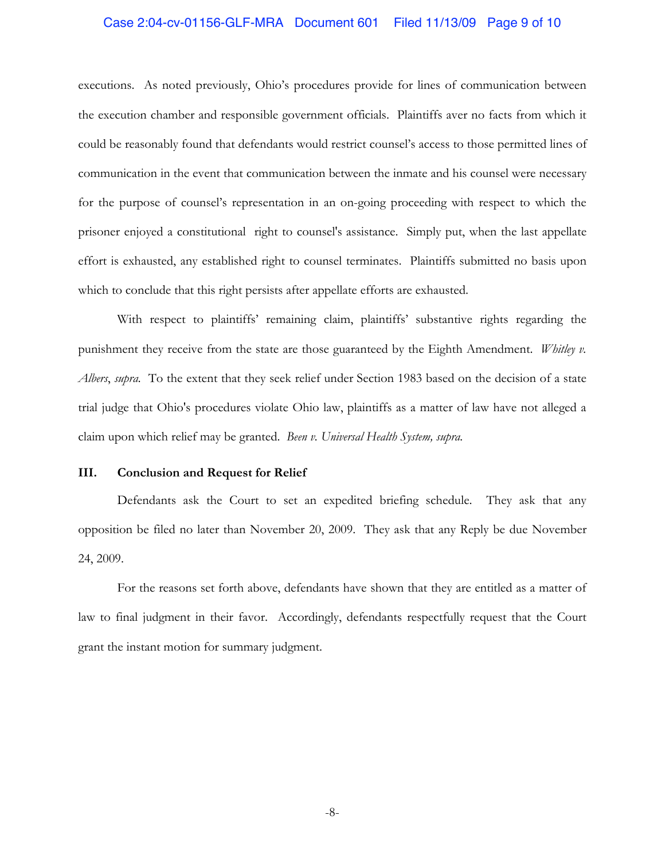## Case 2:04-cv-01156-GLF-MRA Document 601 Filed 11/13/09 Page 9 of 10

executions. As noted previously, Ohio's procedures provide for lines of communication between the execution chamber and responsible government officials. Plaintiffs aver no facts from which it could be reasonably found that defendants would restrict counsel's access to those permitted lines of communication in the event that communication between the inmate and his counsel were necessary for the purpose of counsel's representation in an on-going proceeding with respect to which the prisoner enjoyed a constitutional right to counsel's assistance. Simply put, when the last appellate effort is exhausted, any established right to counsel terminates. Plaintiffs submitted no basis upon which to conclude that this right persists after appellate efforts are exhausted.

With respect to plaintiffs' remaining claim, plaintiffs' substantive rights regarding the punishment they receive from the state are those guaranteed by the Eighth Amendment. *Whitley v.* Albers, supra. To the extent that they seek relief under Section 1983 based on the decision of a state trial judge that Ohio's procedures violate Ohio law, plaintiffs as a matter of law have not alleged a claim upon which relief may be granted. Been v. Universal Health System, supra.

#### III. **Conclusion and Request for Relief**

Defendants ask the Court to set an expedited briefing schedule. They ask that any opposition be filed no later than November 20, 2009. They ask that any Reply be due November 24, 2009.

For the reasons set forth above, defendants have shown that they are entitled as a matter of law to final judgment in their favor. Accordingly, defendants respectfully request that the Court grant the instant motion for summary judgment.